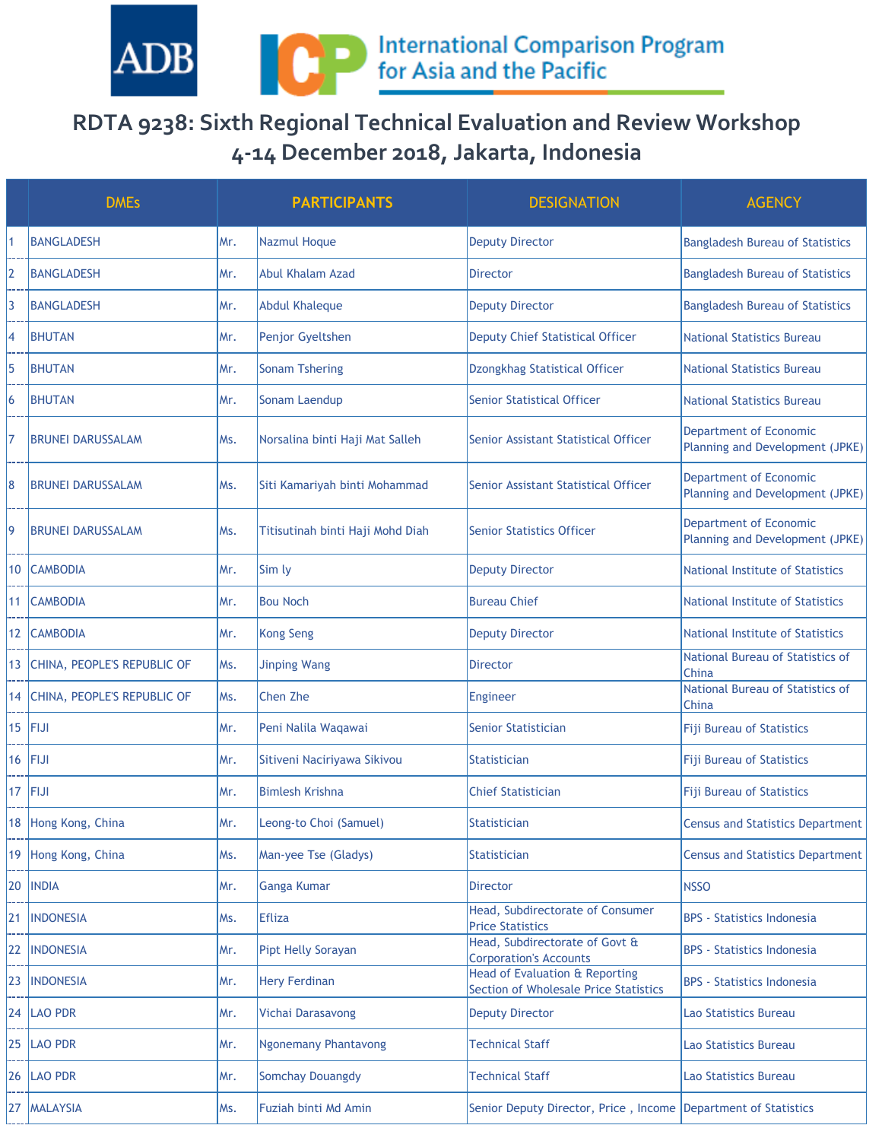

## **RDTA 9238: Sixth Regional Technical Evaluation and Review Workshop 4-14 December 2018, Jakarta, Indonesia**

|                | <b>DMEs</b>                 |      | <b>PARTICIPANTS</b>              | <b>DESIGNATION</b>                                                      | <b>AGENCY</b>                                             |
|----------------|-----------------------------|------|----------------------------------|-------------------------------------------------------------------------|-----------------------------------------------------------|
|                | <b>BANGLADESH</b>           | Mr.  | <b>Nazmul Hoque</b>              | <b>Deputy Director</b>                                                  | <b>Bangladesh Bureau of Statistics</b>                    |
| $\overline{2}$ | <b>BANGLADESH</b>           | Mr.  | <b>Abul Khalam Azad</b>          | Director                                                                | <b>Bangladesh Bureau of Statistics</b>                    |
| 3              | <b>BANGLADESH</b>           | Mr.  | <b>Abdul Khaleque</b>            | <b>Deputy Director</b>                                                  | <b>Bangladesh Bureau of Statistics</b>                    |
| 4              | <b>BHUTAN</b>               | Mr.  | Penjor Gyeltshen                 | <b>Deputy Chief Statistical Officer</b>                                 | <b>National Statistics Bureau</b>                         |
| 5              | <b>BHUTAN</b>               | Mr.  | <b>Sonam Tshering</b>            | Dzongkhag Statistical Officer                                           | <b>National Statistics Bureau</b>                         |
| 6              | <b>BHUTAN</b>               | Mr.  | Sonam Laendup                    | <b>Senior Statistical Officer</b>                                       | <b>National Statistics Bureau</b>                         |
| 7              | <b>BRUNEI DARUSSALAM</b>    | Ms.  | Norsalina binti Haji Mat Salleh  | Senior Assistant Statistical Officer                                    | Department of Economic<br>Planning and Development (JPKE) |
| 8              | <b>BRUNEI DARUSSALAM</b>    | Ms.  | Siti Kamariyah binti Mohammad    | Senior Assistant Statistical Officer                                    | Department of Economic<br>Planning and Development (JPKE) |
| 9              | <b>BRUNEI DARUSSALAM</b>    | Ms.  | Titisutinah binti Haji Mohd Diah | <b>Senior Statistics Officer</b>                                        | Department of Economic<br>Planning and Development (JPKE) |
| 10             | <b>CAMBODIA</b>             | Mr.  | Sim ly                           | <b>Deputy Director</b>                                                  | National Institute of Statistics                          |
| 11             | <b>CAMBODIA</b>             | Mr.  | <b>Bou Noch</b>                  | <b>Bureau Chief</b>                                                     | <b>National Institute of Statistics</b>                   |
| 12             | <b>CAMBODIA</b>             | Mr.  | <b>Kong Seng</b>                 | <b>Deputy Director</b>                                                  | <b>National Institute of Statistics</b>                   |
| 13             | CHINA, PEOPLE'S REPUBLIC OF | Ms.  | <b>Jinping Wang</b>              | <b>Director</b>                                                         | National Bureau of Statistics of<br>China                 |
| 14             | CHINA, PEOPLE'S REPUBLIC OF | Ms.  | Chen Zhe                         | Engineer                                                                | National Bureau of Statistics of<br>China                 |
| 15             | <b>FIJI</b>                 | Mr.  | Peni Nalila Waqawai              | Senior Statistician                                                     | <b>Fiji Bureau of Statistics</b>                          |
| 16             | <b>IFIJI</b>                | Mr.  | Sitiveni Naciriyawa Sikivou      | <b>Statistician</b>                                                     | <b>Fiji Bureau of Statistics</b>                          |
| 17             | FIJI                        | Mr.  | <b>Bimlesh Krishna</b>           | <b>Chief Statistician</b>                                               | <b>Fiji Bureau of Statistics</b>                          |
|                | 18 Hong Kong, China         | IMr. | Leong-to Choi (Samuel)           | Statistician                                                            | <b>Census and Statistics Department</b>                   |
| 19             | Hong Kong, China            | Ms.  | Man-yee Tse (Gladys)             | <b>Statistician</b>                                                     | <b>Census and Statistics Department</b>                   |
| 20             | <b>INDIA</b>                | Mr.  | <b>Ganga Kumar</b>               | <b>Director</b>                                                         | <b>NSSO</b>                                               |
| 21             | <b>INDONESIA</b>            | Ms.  | <b>Efliza</b>                    | Head, Subdirectorate of Consumer<br><b>Price Statistics</b>             | <b>BPS</b> - Statistics Indonesia                         |
| 22             | <b>INDONESIA</b>            | Mr.  | <b>Pipt Helly Sorayan</b>        | Head, Subdirectorate of Govt &<br><b>Corporation's Accounts</b>         | <b>BPS</b> - Statistics Indonesia                         |
| 23             | <b>INDONESIA</b>            | Mr.  | <b>Hery Ferdinan</b>             | Head of Evaluation & Reporting<br>Section of Wholesale Price Statistics | <b>BPS</b> - Statistics Indonesia                         |
| 24             | <b>LAO PDR</b>              | Mr.  | Vichai Darasavong                | <b>Deputy Director</b>                                                  | Lao Statistics Bureau                                     |
| 25             | <b>LAO PDR</b>              | Mr.  | <b>Ngonemany Phantavong</b>      | <b>Technical Staff</b>                                                  | Lao Statistics Bureau                                     |
| 26             | <b>LAO PDR</b>              | Mr.  | <b>Somchay Douangdy</b>          | <b>Technical Staff</b>                                                  | Lao Statistics Bureau                                     |
| 27             | <b>MALAYSIA</b>             | Ms.  | Fuziah binti Md Amin             | Senior Deputy Director, Price, Income Department of Statistics          |                                                           |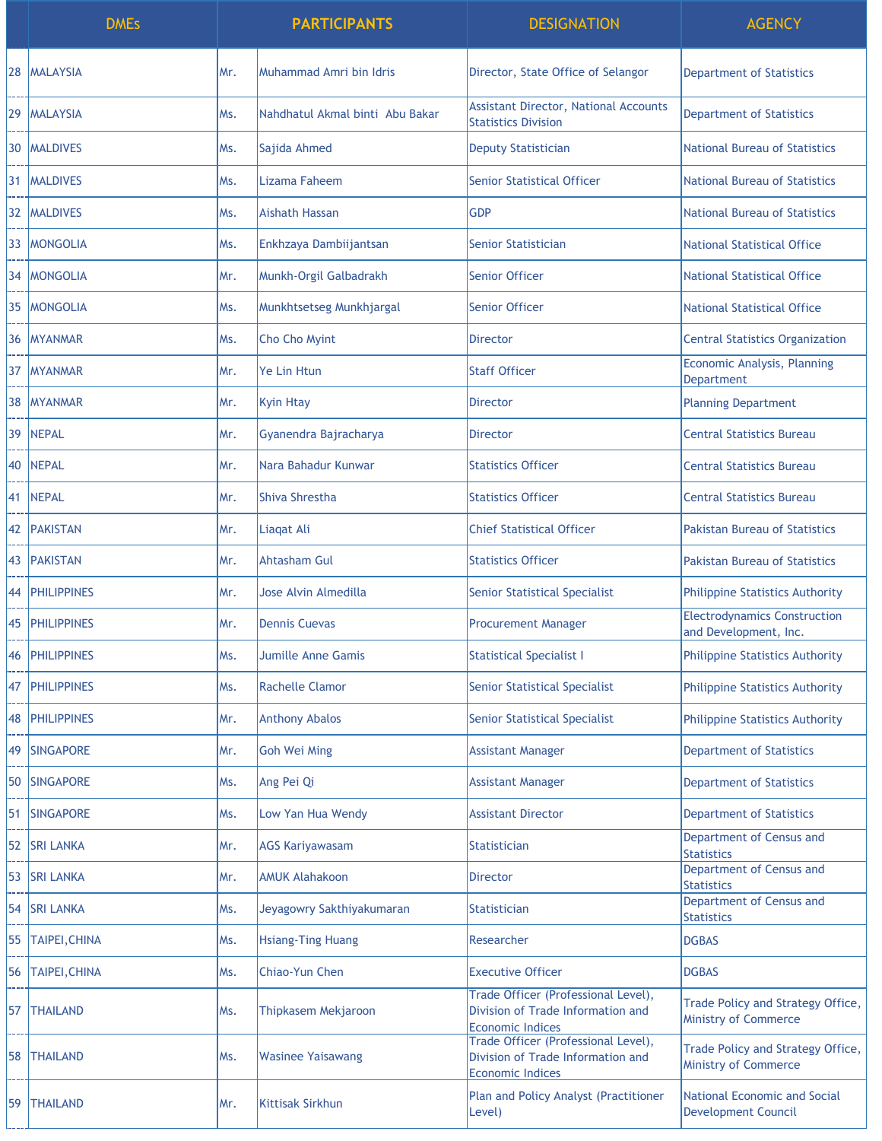|    | <b>DMEs</b>          |      | <b>PARTICIPANTS</b>             | <b>DESIGNATION</b>                                                                                  | <b>AGENCY</b>                                                    |
|----|----------------------|------|---------------------------------|-----------------------------------------------------------------------------------------------------|------------------------------------------------------------------|
| 28 | <b>MALAYSIA</b>      | lMr. | Muhammad Amri bin Idris         | Director, State Office of Selangor                                                                  | <b>Department of Statistics</b>                                  |
| 29 | IMALAYSIA            | lMs. | Nahdhatul Akmal binti Abu Bakar | <b>Assistant Director, National Accounts</b><br><b>Statistics Division</b>                          | <b>Department of Statistics</b>                                  |
| 30 | <b>MALDIVES</b>      | IMs. | Sajida Ahmed                    | <b>Deputy Statistician</b>                                                                          | <b>National Bureau of Statistics</b>                             |
| 31 | <b>MALDIVES</b>      | Ms.  | Lizama Faheem                   | <b>Senior Statistical Officer</b>                                                                   | <b>National Bureau of Statistics</b>                             |
| 32 | <b>MALDIVES</b>      | lMs. | <b>Aishath Hassan</b>           | <b>GDP</b>                                                                                          | <b>National Bureau of Statistics</b>                             |
| 33 | <b>MONGOLIA</b>      | Ms.  | Enkhzaya Dambiijantsan          | Senior Statistician                                                                                 | <b>National Statistical Office</b>                               |
| 34 | <b>MONGOLIA</b>      | lMr. | Munkh-Orgil Galbadrakh          | Senior Officer                                                                                      | <b>National Statistical Office</b>                               |
| 35 | <b>MONGOLIA</b>      | Ms.  | Munkhtsetseg Munkhjargal        | <b>Senior Officer</b>                                                                               | <b>National Statistical Office</b>                               |
| 36 | <b>IMYANMAR</b>      | Ms.  | Cho Cho Myint                   | Director                                                                                            | <b>Central Statistics Organization</b>                           |
| 37 | <b>MYANMAR</b>       | lMr. | Ye Lin Htun                     | <b>Staff Officer</b>                                                                                | Economic Analysis, Planning<br><b>Department</b>                 |
| 38 | <b>IMYANMAR</b>      | lMr. | <b>Kyin Htay</b>                | <b>Director</b>                                                                                     | <b>Planning Department</b>                                       |
| 39 | <b>NEPAL</b>         | lMr. | Gyanendra Bajracharya           | Director                                                                                            | <b>Central Statistics Bureau</b>                                 |
| 40 | <b>NEPAL</b>         | lMr. | Nara Bahadur Kunwar             | <b>Statistics Officer</b>                                                                           | <b>Central Statistics Bureau</b>                                 |
| 41 | NEPAL                | lMr. | Shiva Shrestha                  | <b>Statistics Officer</b>                                                                           | <b>Central Statistics Bureau</b>                                 |
| 42 | <b>PAKISTAN</b>      | lMr. | Liagat Ali                      | <b>Chief Statistical Officer</b>                                                                    | <b>Pakistan Bureau of Statistics</b>                             |
| 43 | <b>PAKISTAN</b>      | Mr.  | <b>Ahtasham Gul</b>             | <b>Statistics Officer</b>                                                                           | <b>Pakistan Bureau of Statistics</b>                             |
| 44 | <b>PHILIPPINES</b>   | Mr.  | Jose Alvin Almedilla            | <b>Senior Statistical Specialist</b>                                                                | <b>Philippine Statistics Authority</b>                           |
| 45 | <b>PHILIPPINES</b>   | lMr. | <b>Dennis Cuevas</b>            | <b>Procurement Manager</b>                                                                          | <b>Electrodynamics Construction</b><br>and Development, Inc.     |
| 46 | <b>PHILIPPINES</b>   | IMs. | <b>Jumille Anne Gamis</b>       | <b>Statistical Specialist I</b>                                                                     | <b>Philippine Statistics Authority</b>                           |
| 47 | <b>PHILIPPINES</b>   | Ms.  | <b>Rachelle Clamor</b>          | <b>Senior Statistical Specialist</b>                                                                | <b>Philippine Statistics Authority</b>                           |
| 48 | <b>PHILIPPINES</b>   | lMr. | <b>Anthony Abalos</b>           | <b>Senior Statistical Specialist</b>                                                                | <b>Philippine Statistics Authority</b>                           |
| 49 | <b>SINGAPORE</b>     | Mr.  | <b>Goh Wei Ming</b>             | <b>Assistant Manager</b>                                                                            | <b>Department of Statistics</b>                                  |
| 50 | <b>SINGAPORE</b>     | Ms.  | Ang Pei Qi                      | <b>Assistant Manager</b>                                                                            | <b>Department of Statistics</b>                                  |
| 51 | <b>SINGAPORE</b>     | lMs. | Low Yan Hua Wendy               | <b>Assistant Director</b>                                                                           | <b>Department of Statistics</b>                                  |
| 52 | <b>SRI LANKA</b>     | Mr.  | <b>AGS Kariyawasam</b>          | <b>Statistician</b>                                                                                 | Department of Census and<br><b>Statistics</b>                    |
| 53 | <b>SRI LANKA</b>     | Mr.  | <b>AMUK Alahakoon</b>           | <b>Director</b>                                                                                     | Department of Census and<br><b>Statistics</b>                    |
| 54 | <b>SRI LANKA</b>     | IMs. | Jeyagowry Sakthiyakumaran       | <b>Statistician</b>                                                                                 | Department of Census and<br><b>Statistics</b>                    |
| 55 | <b>TAIPEI, CHINA</b> | Ms.  | <b>Hsiang-Ting Huang</b>        | Researcher                                                                                          | <b>DGBAS</b>                                                     |
| 56 | <b>TAIPEI, CHINA</b> | Ms.  | Chiao-Yun Chen                  | <b>Executive Officer</b>                                                                            | <b>DGBAS</b>                                                     |
| 57 | <b>THAILAND</b>      | lMs. | Thipkasem Mekjaroon             | Trade Officer (Professional Level),<br>Division of Trade Information and<br><b>Economic Indices</b> | Trade Policy and Strategy Office,<br><b>Ministry of Commerce</b> |
| 58 | <b>THAILAND</b>      | Ms.  | <b>Wasinee Yaisawang</b>        | Trade Officer (Professional Level),<br>Division of Trade Information and<br><b>Economic Indices</b> | Trade Policy and Strategy Office,<br><b>Ministry of Commerce</b> |
| 59 | <b>THAILAND</b>      | lMr. | <b>Kittisak Sirkhun</b>         | Plan and Policy Analyst (Practitioner<br>Level)                                                     | National Economic and Social<br><b>Development Council</b>       |